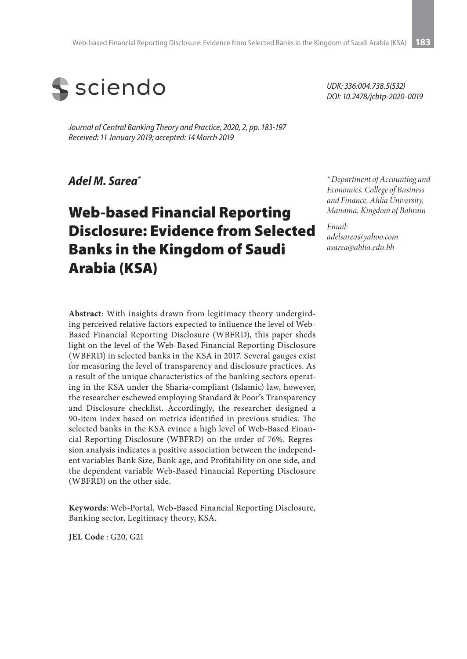

*Journal of Central Banking Theory and Practice, 2020, 2, pp. 183-197 Received: 11 January 2019; accepted: 14 March 2019* 

*Adel M. Sarea\**

# Web-based Financial Reporting Disclosure: Evidence from Selected Banks in the Kingdom of Saudi Arabia (KSA)

**Abstract**: With insights drawn from legitimacy theory undergirding perceived relative factors expected to influence the level of Web-Based Financial Reporting Disclosure (WBFRD), this paper sheds light on the level of the Web-Based Financial Reporting Disclosure (WBFRD) in selected banks in the KSA in 2017. Several gauges exist for measuring the level of transparency and disclosure practices. As a result of the unique characteristics of the banking sectors operating in the KSA under the Sharia-compliant (Islamic) law, however, the researcher eschewed employing Standard & Poor's Transparency and Disclosure checklist. Accordingly, the researcher designed a 90-item index based on metrics identified in previous studies. The selected banks in the KSA evince a high level of Web-Based Financial Reporting Disclosure (WBFRD) on the order of 76%. Regression analysis indicates a positive association between the independent variables Bank Size, Bank age, and Profitability on one side, and the dependent variable Web-Based Financial Reporting Disclosure (WBFRD) on the other side.

**Keywords**: Web-Portal, Web-Based Financial Reporting Disclosure, Banking sector, Legitimacy theory, KSA.

**JEL Code** : G20, G21

*UDK: 336:004.738.5(532) DOI: 10.2478/jcbtp-2020-0019*

*\* Department of Accounting and Economics, College of Business and Finance, Ahlia University, Manama, Kingdom of Bahrain*

*Email: adelsarea@yahoo.com asarea@ahlia.edu.bh*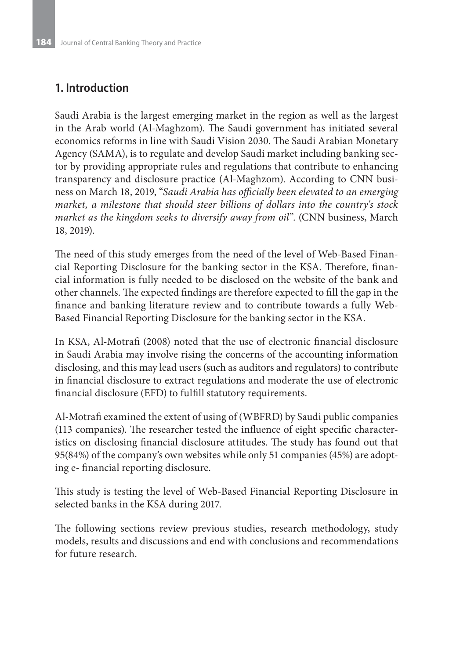# **1. Introduction**

Saudi Arabia is the largest emerging market in the region as well as the largest in the Arab world (Al-Maghzom). The Saudi government has initiated several economics reforms in line with Saudi Vision 2030. The Saudi Arabian Monetary Agency (SAMA), is to regulate and develop Saudi market including banking sector by providing appropriate rules and regulations that contribute to enhancing transparency and disclosure practice (Al-Maghzom). According to CNN business on March 18, 2019, "*Saudi Arabia has officially been elevated to an emerging market, a milestone that should steer billions of dollars into the country's stock market as the kingdom seeks to diversify away from oil*". (CNN business, March 18, 2019).

The need of this study emerges from the need of the level of Web-Based Financial Reporting Disclosure for the banking sector in the KSA. Therefore, financial information is fully needed to be disclosed on the website of the bank and other channels. The expected findings are therefore expected to fill the gap in the finance and banking literature review and to contribute towards a fully Web-Based Financial Reporting Disclosure for the banking sector in the KSA.

In KSA, Al-Motrafi (2008) noted that the use of electronic financial disclosure in Saudi Arabia may involve rising the concerns of the accounting information disclosing, and this may lead users (such as auditors and regulators) to contribute in financial disclosure to extract regulations and moderate the use of electronic financial disclosure (EFD) to fulfill statutory requirements.

Al-Motrafi examined the extent of using of (WBFRD) by Saudi public companies (113 companies). The researcher tested the influence of eight specific characteristics on disclosing financial disclosure attitudes. The study has found out that 95(84%) of the company's own websites while only 51 companies (45%) are adopting e- financial reporting disclosure.

This study is testing the level of Web-Based Financial Reporting Disclosure in selected banks in the KSA during 2017.

The following sections review previous studies, research methodology, study models, results and discussions and end with conclusions and recommendations for future research.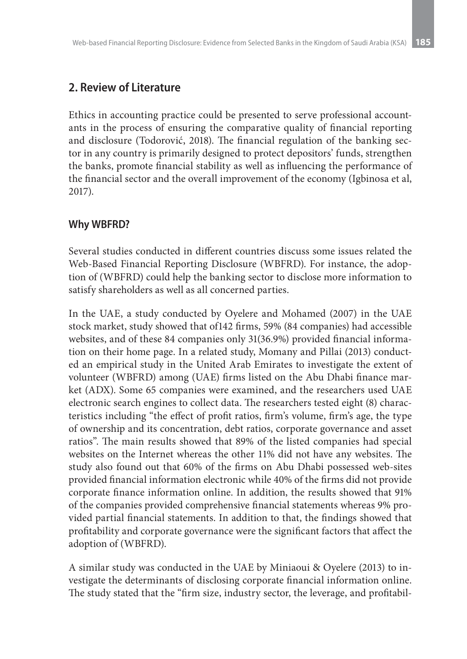# **2. Review of Literature**

Ethics in accounting practice could be presented to serve professional accountants in the process of ensuring the comparative quality of financial reporting and disclosure (Todorović, 2018). The financial regulation of the banking sector in any country is primarily designed to protect depositors' funds, strengthen the banks, promote financial stability as well as influencing the performance of the financial sector and the overall improvement of the economy (Igbinosa et al, 2017).

## **Why WBFRD?**

Several studies conducted in different countries discuss some issues related the Web-Based Financial Reporting Disclosure (WBFRD). For instance, the adoption of (WBFRD) could help the banking sector to disclose more information to satisfy shareholders as well as all concerned parties.

In the UAE, a study conducted by Oyelere and Mohamed (2007) in the UAE stock market, study showed that of142 firms, 59% (84 companies) had accessible websites, and of these 84 companies only 31(36.9%) provided financial information on their home page. In a related study, Momany and Pillai (2013) conducted an empirical study in the United Arab Emirates to investigate the extent of volunteer (WBFRD) among (UAE) firms listed on the Abu Dhabi finance market (ADX). Some 65 companies were examined, and the researchers used UAE electronic search engines to collect data. The researchers tested eight (8) characteristics including "the effect of profit ratios, firm's volume, firm's age, the type of ownership and its concentration, debt ratios, corporate governance and asset ratios". The main results showed that 89% of the listed companies had special websites on the Internet whereas the other 11% did not have any websites. The study also found out that 60% of the firms on Abu Dhabi possessed web-sites provided financial information electronic while 40% of the firms did not provide corporate finance information online. In addition, the results showed that 91% of the companies provided comprehensive financial statements whereas 9% provided partial financial statements. In addition to that, the findings showed that profitability and corporate governance were the significant factors that affect the adoption of (WBFRD).

A similar study was conducted in the UAE by Miniaoui & Oyelere (2013) to investigate the determinants of disclosing corporate financial information online. The study stated that the "firm size, industry sector, the leverage, and profitabil-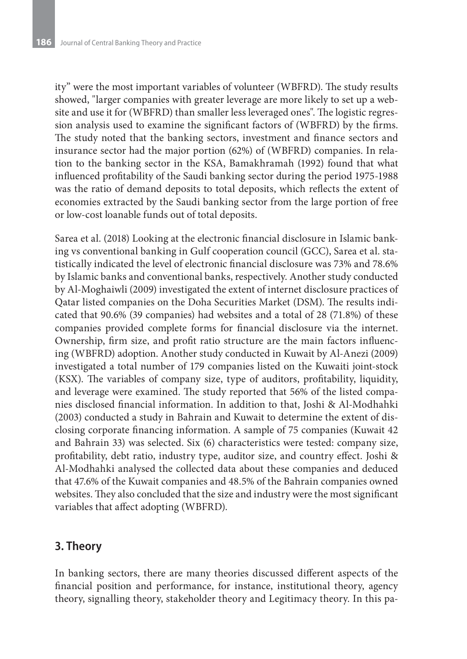ity" were the most important variables of volunteer (WBFRD). The study results showed, "larger companies with greater leverage are more likely to set up a website and use it for (WBFRD) than smaller less leveraged ones". The logistic regression analysis used to examine the significant factors of (WBFRD) by the firms. The study noted that the banking sectors, investment and finance sectors and insurance sector had the major portion (62%) of (WBFRD) companies. In relation to the banking sector in the KSA, Bamakhramah (1992) found that what influenced profitability of the Saudi banking sector during the period 1975-1988 was the ratio of demand deposits to total deposits, which reflects the extent of economies extracted by the Saudi banking sector from the large portion of free or low-cost loanable funds out of total deposits.

Sarea et al. (2018) Looking at the electronic financial disclosure in Islamic banking vs conventional banking in Gulf cooperation council (GCC), Sarea et al. statistically indicated the level of electronic financial disclosure was 73% and 78.6% by Islamic banks and conventional banks, respectively. Another study conducted by Al-Moghaiwli (2009) investigated the extent of internet disclosure practices of Qatar listed companies on the Doha Securities Market (DSM). The results indicated that 90.6% (39 companies) had websites and a total of 28 (71.8%) of these companies provided complete forms for financial disclosure via the internet. Ownership, firm size, and profit ratio structure are the main factors influencing (WBFRD) adoption. Another study conducted in Kuwait by Al-Anezi (2009) investigated a total number of 179 companies listed on the Kuwaiti joint-stock (KSX). The variables of company size, type of auditors, profitability, liquidity, and leverage were examined. The study reported that 56% of the listed companies disclosed financial information. In addition to that, Joshi & Al-Modhahki (2003) conducted a study in Bahrain and Kuwait to determine the extent of disclosing corporate financing information. A sample of 75 companies (Kuwait 42 and Bahrain 33) was selected. Six (6) characteristics were tested: company size, profitability, debt ratio, industry type, auditor size, and country effect. Joshi & Al-Modhahki analysed the collected data about these companies and deduced that 47.6% of the Kuwait companies and 48.5% of the Bahrain companies owned websites. They also concluded that the size and industry were the most significant variables that affect adopting (WBFRD).

# **3. Theory**

In banking sectors, there are many theories discussed different aspects of the financial position and performance, for instance, institutional theory, agency theory, signalling theory, stakeholder theory and Legitimacy theory. In this pa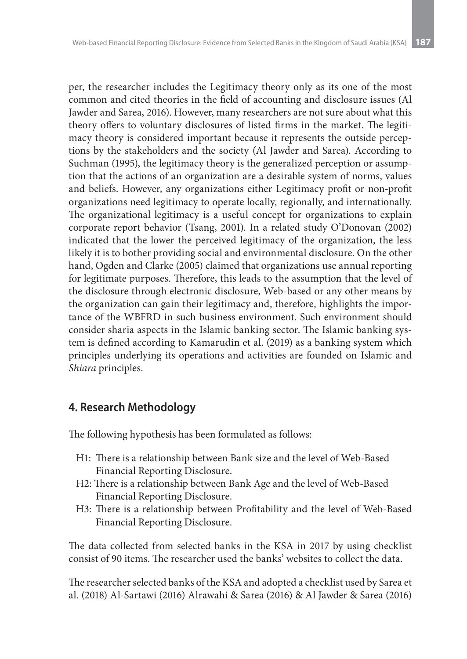per, the researcher includes the Legitimacy theory only as its one of the most common and cited theories in the field of accounting and disclosure issues (Al Jawder and Sarea, 2016). However, many researchers are not sure about what this theory offers to voluntary disclosures of listed firms in the market. The legitimacy theory is considered important because it represents the outside perceptions by the stakeholders and the society (Al Jawder and Sarea). According to Suchman (1995), the legitimacy theory is the generalized perception or assumption that the actions of an organization are a desirable system of norms, values and beliefs. However, any organizations either Legitimacy profit or non-profit organizations need legitimacy to operate locally, regionally, and internationally. The organizational legitimacy is a useful concept for organizations to explain corporate report behavior (Tsang, 2001). In a related study O'Donovan (2002) indicated that the lower the perceived legitimacy of the organization, the less likely it is to bother providing social and environmental disclosure. On the other hand, Ogden and Clarke (2005) claimed that organizations use annual reporting for legitimate purposes. Therefore, this leads to the assumption that the level of the disclosure through electronic disclosure, Web-based or any other means by the organization can gain their legitimacy and, therefore, highlights the importance of the WBFRD in such business environment. Such environment should consider sharia aspects in the Islamic banking sector. The Islamic banking system is defined according to Kamarudin et al. (2019) as a banking system which principles underlying its operations and activities are founded on Islamic and *Shiara* principles.

# **4. Research Methodology**

The following hypothesis has been formulated as follows:

- H1: There is a relationship between Bank size and the level of Web-Based Financial Reporting Disclosure.
- H2: There is a relationship between Bank Age and the level of Web-Based Financial Reporting Disclosure.
- H3: There is a relationship between Profitability and the level of Web-Based Financial Reporting Disclosure.

The data collected from selected banks in the KSA in 2017 by using checklist consist of 90 items. The researcher used the banks' websites to collect the data.

The researcher selected banks of the KSA and adopted a checklist used by Sarea et al. (2018) Al-Sartawi (2016) Alrawahi & Sarea (2016) & Al Jawder & Sarea (2016)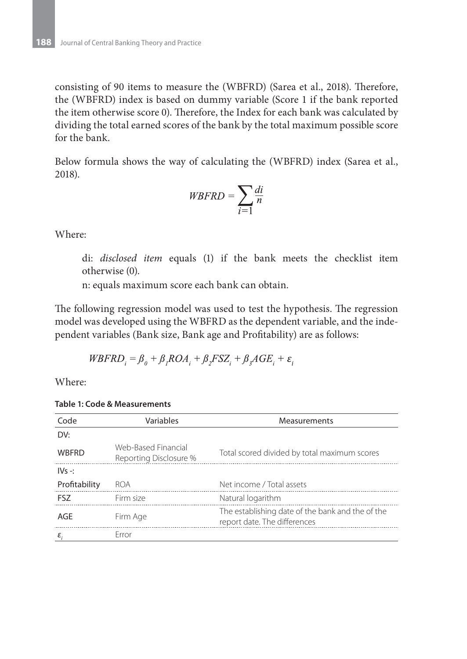consisting of 90 items to measure the (WBFRD) (Sarea et al., 2018). Therefore, the (WBFRD) index is based on dummy variable (Score 1 if the bank reported the item otherwise score 0). Therefore, the Index for each bank was calculated by dividing the total earned scores of the bank by the total maximum possible score for the bank.

Below formula shows the way of calculating the (WBFRD) index (Sarea et al., 2018).

$$
WBFRD = \sum_{i=1} \frac{di}{n}
$$

Where:

di: *disclosed item* equals (1) if the bank meets the checklist item otherwise (0).

n: equals maximum score each bank can obtain.

The following regression model was used to test the hypothesis. The regression model was developed using the WBFRD as the dependent variable, and the independent variables (Bank size, Bank age and Profitability) are as follows:

$$
WBFRD_i = \beta_0 + \beta_1 ROA_i + \beta_2 FSZ_i + \beta_3 AGE_i + \varepsilon_i
$$

Where:

**Table 1: Code & Measurements**

| Code          | Variables                                     | <b>Measurements</b>                                                              |
|---------------|-----------------------------------------------|----------------------------------------------------------------------------------|
| DV:           |                                               |                                                                                  |
| <b>WBFRD</b>  | Web-Based Financial<br>Reporting Disclosure % | Total scored divided by total maximum scores                                     |
| $IVs - 1$     |                                               |                                                                                  |
| Profitability | <b>ROA</b>                                    | Net income / Total assets                                                        |
| FSZ.          | Firm size                                     | Natural logarithm                                                                |
| AGF           | Firm Age                                      | The establishing date of the bank and the of the<br>report date. The differences |
| ε             | Frror                                         |                                                                                  |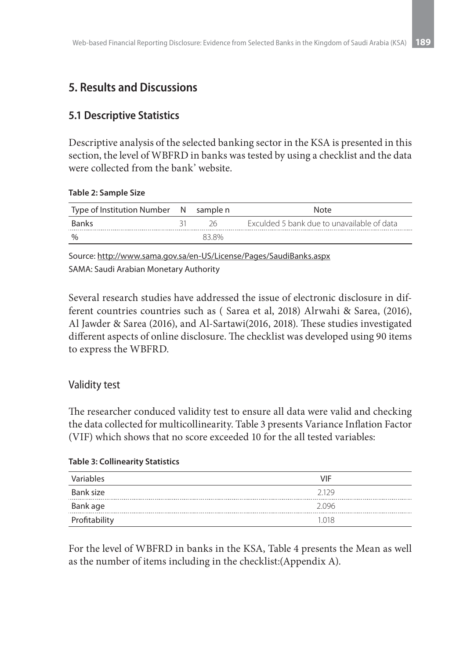# **5. Results and Discussions**

# **5.1 Descriptive Statistics**

Descriptive analysis of the selected banking sector in the KSA is presented in this section, the level of WBFRD in banks was tested by using a checklist and the data were collected from the bank' website.

#### **Table 2: Sample Size**

| Type of Institution Number N sample n |       | <b>Note</b>                                |
|---------------------------------------|-------|--------------------------------------------|
| <b>Banks</b>                          | 26    | Exculded 5 bank due to unavailable of data |
| $\frac{0}{0}$                         | 83.8% |                                            |

Source: http://www.sama.gov.sa/en-US/License/Pages/SaudiBanks.aspx SAMA: Saudi Arabian Monetary Authority

Several research studies have addressed the issue of electronic disclosure in different countries countries such as ( Sarea et al, 2018) Alrwahi & Sarea, (2016), Al Jawder & Sarea (2016), and Al-Sartawi(2016, 2018). These studies investigated different aspects of online disclosure. The checklist was developed using 90 items to express the WBFRD.

### Validity test

The researcher conduced validity test to ensure all data were valid and checking the data collected for multicollinearity. Table 3 presents Variance Inflation Factor (VIF) which shows that no score exceeded 10 for the all tested variables:

#### **Table 3: Collinearity Statistics**

| Variables     | <b>VIF</b> |
|---------------|------------|
| Bank size     | 2129       |
| Bank age      | 2096       |
| Profitability | 1.018      |

For the level of WBFRD in banks in the KSA, Table 4 presents the Mean as well as the number of items including in the checklist:(Appendix A).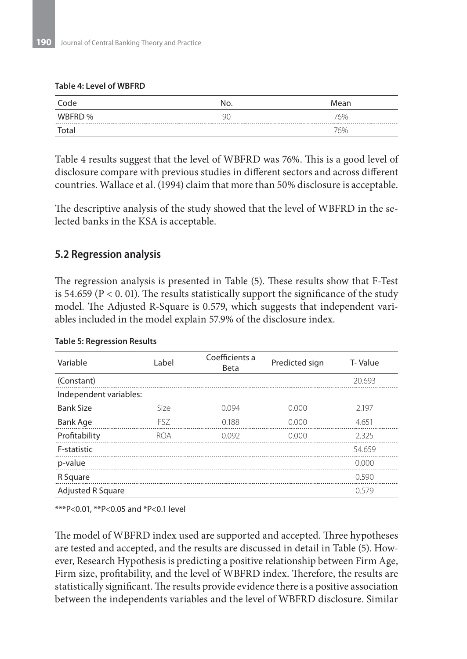#### **Table 4: Level of WBFRD**

| Code   | No. | Mean |
|--------|-----|------|
| WBFRD% | 90  | 76%  |
| Total  |     | 76%  |

Table 4 results suggest that the level of WBFRD was 76%. This is a good level of disclosure compare with previous studies in different sectors and across different countries. Wallace et al. (1994) claim that more than 50% disclosure is acceptable.

The descriptive analysis of the study showed that the level of WBFRD in the selected banks in the KSA is acceptable.

### **5.2 Regression analysis**

The regression analysis is presented in Table (5). These results show that F-Test is 54.659 ( $P < 0.01$ ). The results statistically support the significance of the study model. The Adjusted R-Square is 0.579, which suggests that independent variables included in the model explain 57.9% of the disclosure index.

| Variable                 | Label      | Coefficients a<br>Beta | Predicted sign | T-Value |
|--------------------------|------------|------------------------|----------------|---------|
| (Constant)               |            |                        |                | 20.693  |
| Independent variables:   |            |                        |                |         |
| <b>Bank Size</b>         | Size       | 0.094                  | 0.000          | 2.197   |
| <b>Bank Age</b>          | FSZ.       | 0188                   | 0.000          | 4651    |
| Profitability            | <b>ROA</b> | 0.092                  | 0.000          | 2325    |
| F-statistic              |            |                        |                | 54.659  |
| p-value                  |            |                        |                | 0.000   |
| R Square                 |            |                        |                | 0.590   |
| <b>Adjusted R Square</b> |            |                        |                | 0.579   |

#### **Table 5: Regression Results**

\*\*\*P<0.01, \*\*P<0.05 and \*P<0.1 level

The model of WBFRD index used are supported and accepted. Three hypotheses are tested and accepted, and the results are discussed in detail in Table (5). However, Research Hypothesis is predicting a positive relationship between Firm Age, Firm size, profitability, and the level of WBFRD index. Therefore, the results are statistically significant. The results provide evidence there is a positive association between the independents variables and the level of WBFRD disclosure. Similar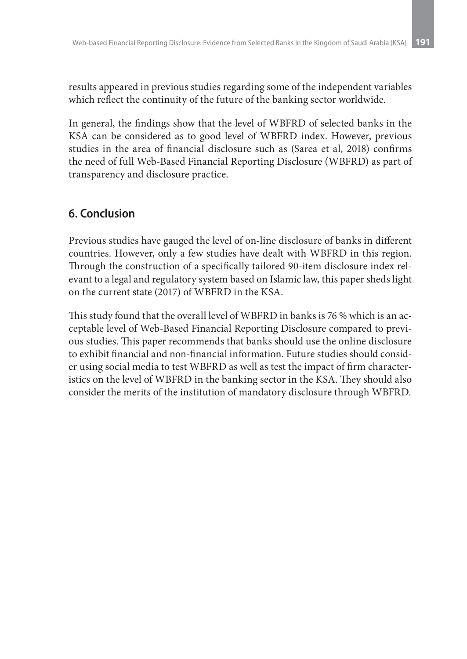results appeared in previous studies regarding some of the independent variables which reflect the continuity of the future of the banking sector worldwide.

In general, the findings show that the level of WBFRD of selected banks in the KSA can be considered as to good level of WBFRD index. However, previous studies in the area of financial disclosure such as (Sarea et al, 2018) confirms the need of full Web-Based Financial Reporting Disclosure (WBFRD) as part of transparency and disclosure practice.

# **6. Conclusion**

Previous studies have gauged the level of on-line disclosure of banks in different countries. However, only a few studies have dealt with WBFRD in this region. Through the construction of a specifically tailored 90-item disclosure index relevant to a legal and regulatory system based on Islamic law, this paper sheds light on the current state (2017) of WBFRD in the KSA.

This study found that the overall level of WBFRD in banks is 76 % which is an acceptable level of Web-Based Financial Reporting Disclosure compared to previous studies. This paper recommends that banks should use the online disclosure to exhibit financial and non-financial information. Future studies should consider using social media to test WBFRD as well as test the impact of firm characteristics on the level of WBFRD in the banking sector in the KSA. They should also consider the merits of the institution of mandatory disclosure through WBFRD.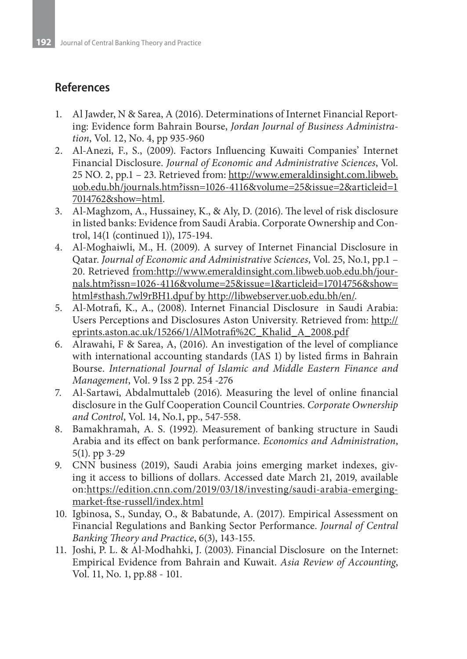# **References**

- 1. Al Jawder, N & Sarea, A (2016). Determinations of Internet Financial Reporting: Evidence form Bahrain Bourse, *Jordan Journal of Business Administration*, Vol. 12, No. 4, pp 935-960
- 2. Al-Anezi, F., S., (2009). Factors Influencing Kuwaiti Companies' Internet Financial Disclosure. *Journal of Economic and Administrative Sciences*, Vol. 25 NO. 2, pp.1 – 23. Retrieved from: http://www.emeraldinsight.com.libweb. uob.edu.bh/journals.htm?issn=1026-4116&volume=25&issue=2&articleid=1 7014762&show=html.
- 3. Al-Maghzom, A., Hussainey, K., & Aly, D. (2016). The level of risk disclosure in listed banks: Evidence from Saudi Arabia. Corporate Ownership and Control, 14(1 (continued 1)), 175-194.
- 4. Al-Moghaiwli, M., H. (2009). A survey of Internet Financial Disclosure in Qatar. *Journal of Economic and Administrative Sciences*, Vol. 25, No.1, pp.1 – 20. Retrieved from:http://www.emeraldinsight.com.libweb.uob.edu.bh/journals.htm?issn=1026-4116&volume=25&issue=1&articleid=17014756&show= html#sthash.7wl9rBH1.dpuf by http://libwebserver.uob.edu.bh/en/.
- 5. Al-Motrafi, K., A., (2008). Internet Financial Disclosure in Saudi Arabia: Users Perceptions and Disclosures Aston University. Retrieved from: http:// eprints.aston.ac.uk/15266/1/AlMotrafi%2C\_Khalid\_A\_2008.pdf
- 6. Alrawahi, F & Sarea, A, (2016). An investigation of the level of compliance with international accounting standards (IAS 1) by listed firms in Bahrain Bourse. *International Journal of Islamic and Middle Eastern Finance and Management*, Vol. 9 Iss 2 pp. 254 -276
- 7. Al-Sartawi, Abdalmuttaleb (2016). Measuring the level of online financial disclosure in the Gulf Cooperation Council Countries. *Corporate Ownership and Control*, Vol. 14, No.1, pp., 547-558.
- 8. Bamakhramah, A. S. (1992). Measurement of banking structure in Saudi Arabia and its effect on bank performance. *Economics and Administration*, 5(1). pp 3-29
- 9. CNN business (2019), Saudi Arabia joins emerging market indexes, giving it access to billions of dollars. Accessed date March 21, 2019, available on:https://edition.cnn.com/2019/03/18/investing/saudi-arabia-emergingmarket-ftse-russell/index.html
- 10. Igbinosa, S., Sunday, O., & Babatunde, A. (2017). Empirical Assessment on Financial Regulations and Banking Sector Performance. *Journal of Central Banking Theory and Practice*, 6(3), 143-155.
- 11. Joshi, P. L. & Al-Modhahki, J. (2003). Financial Disclosure on the Internet: Empirical Evidence from Bahrain and Kuwait. *Asia Review of Accounting*, Vol. 11, No. 1, pp.88 - 101.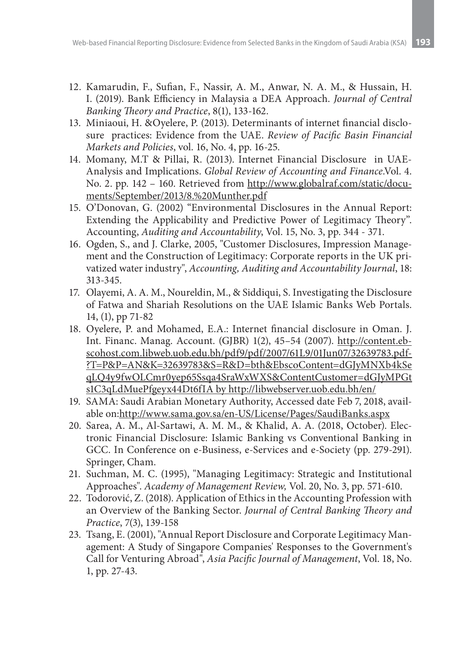- 12. Kamarudin, F., Sufian, F., Nassir, A. M., Anwar, N. A. M., & Hussain, H. I. (2019). Bank Efficiency in Malaysia a DEA Approach. *Journal of Central Banking Theory and Practice*, 8(1), 133-162.
- 13. Miniaoui, H. &Oyelere, P. (2013). Determinants of internet financial disclosure practices: Evidence from the UAE. *Review of Pacific Basin Financial Markets and Policies*, vol. 16, No. 4, pp. 16-25.
- 14. Momany, M.T & Pillai, R. (2013). Internet Financial Disclosure in UAE-Analysis and Implications. *Global Review of Accounting and Finance*.Vol. 4. No. 2. pp. 142 – 160. Retrieved from http://www.globalraf.com/static/documents/September/2013/8.%20Munther.pdf
- 15. O'Donovan, G. (2002) "Environmental Disclosures in the Annual Report: Extending the Applicability and Predictive Power of Legitimacy Theory". Accounting, *Auditing and Accountability*, Vol. 15, No. 3, pp. 344 - 371.
- 16. Ogden, S., and J. Clarke, 2005, "Customer Disclosures, Impression Management and the Construction of Legitimacy: Corporate reports in the UK privatized water industry", *Accounting, Auditing and Accountability Journal*, 18: 313-345.
- 17. Olayemi, A. A. M., Noureldin, M., & Siddiqui, S. Investigating the Disclosure of Fatwa and Shariah Resolutions on the UAE Islamic Banks Web Portals. 14, (1), pp 71-82
- 18. Oyelere, P. and Mohamed, E.A.: Internet financial disclosure in Oman. J. Int. Financ. Manag. Account. (GJBR) 1(2), 45–54 (2007). http://content.ebscohost.com.libweb.uob.edu.bh/pdf9/pdf/2007/61L9/01Jun07/32639783.pdf- ?T=P&P=AN&K=32639783&S=R&D=bth&EbscoContent=dGJyMNXb4kSe qLQ4y9fwOLCmr0yep65Ssqa4SraWxWXS&ContentCustomer=dGJyMPGt s1C3qLdMuePfgeyx44Dt6fIA by http://libwebserver.uob.edu.bh/en/
- 19. SAMA: Saudi Arabian Monetary Authority, Accessed date Feb 7, 2018, available on:http://www.sama.gov.sa/en-US/License/Pages/SaudiBanks.aspx
- 20. Sarea, A. M., Al-Sartawi, A. M. M., & Khalid, A. A. (2018, October). Electronic Financial Disclosure: Islamic Banking vs Conventional Banking in GCC. In Conference on e-Business, e-Services and e-Society (pp. 279-291). Springer, Cham.
- 21. Suchman, M. C. (1995), "Managing Legitimacy: Strategic and Institutional Approaches". *Academy of Management Review,* Vol. 20, No. 3, pp. 571-610.
- 22. Todorović, Z. (2018). Application of Ethics in the Accounting Profession with an Overview of the Banking Sector. *Journal of Central Banking Theory and Practice*, 7(3), 139-158
- 23. Tsang, E. (2001), "Annual Report Disclosure and Corporate Legitimacy Management: A Study of Singapore Companies' Responses to the Government's Call for Venturing Abroad", *Asia Pacific Journal of Management*, Vol. 18, No. 1, pp. 27-43.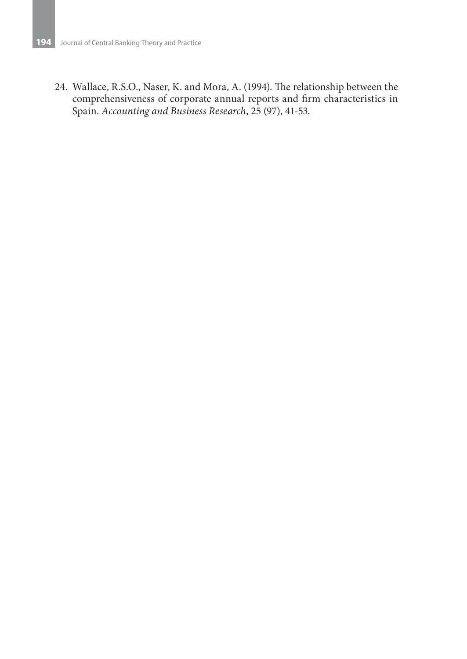24. Wallace, R.S.O., Naser, K. and Mora, A. (1994). The relationship between the comprehensiveness of corporate annual reports and firm characteristics in Spain. *Accounting and Business Research*, 25 (97), 41-53.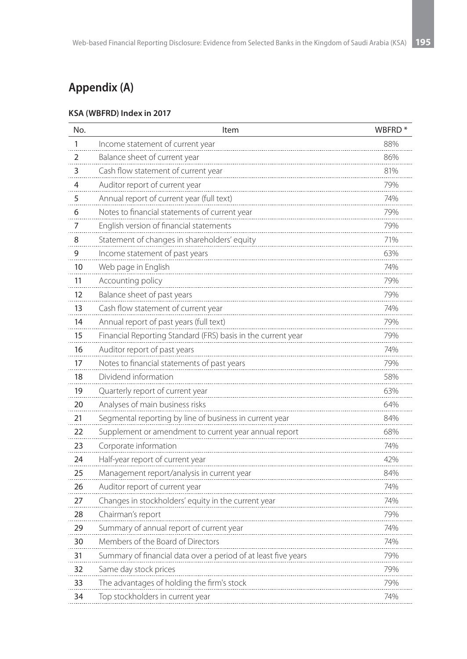# **Appendix (A)**

#### **KSA (WBFRD) Index in 2017**

| No. | Item                                                           | WBFRD <sup>*</sup> |
|-----|----------------------------------------------------------------|--------------------|
| 1   | Income statement of current year                               | 88%                |
| 2   | Balance sheet of current year                                  | 86%                |
| 3   | Cash flow statement of current year                            | 81%                |
| 4   | Auditor report of current year                                 | 79%                |
| 5   | Annual report of current year (full text)                      | 74%                |
| 6   | Notes to financial statements of current year                  | 79%                |
| 7   | English version of financial statements                        | 79%                |
| 8   | Statement of changes in shareholders' equity                   | 71%                |
| 9   | Income statement of past years                                 | 63%                |
| 10  | Web page in English                                            | 74%                |
| 11  | Accounting policy                                              | 79%                |
| 12  | Balance sheet of past years                                    | 79%                |
| 13  | Cash flow statement of current year                            | 74%                |
| 14  | Annual report of past years (full text)                        | 79%                |
| 15  | Financial Reporting Standard (FRS) basis in the current year   | 79%                |
| 16  | Auditor report of past years                                   | 74%                |
| 17  | Notes to financial statements of past years                    | 79%                |
| 18  | Dividend information                                           | 58%                |
| 19  | Quarterly report of current year                               | 63%                |
| 20  | Analyses of main business risks                                | 64%                |
| 21  | Segmental reporting by line of business in current year        | 84%                |
| 22  | Supplement or amendment to current year annual report          | 68%                |
| 23  | Corporate information                                          | 74%                |
| 24  | Half-year report of current year                               | 42%                |
| 25  | Management report/analysis in current year                     | 84%                |
| 26  | Auditor report of current year                                 | 74%                |
| 27  | Changes in stockholders' equity in the current year            | 74%                |
| 28  | Chairman's report                                              | 79%                |
| 29  | Summary of annual report of current year                       | 74%                |
| 30  | Members of the Board of Directors                              | 74%                |
| 31  | Summary of financial data over a period of at least five years | 79%                |
| 32  | Same day stock prices                                          | 79%                |
| 33  | The advantages of holding the firm's stock                     | 79%                |
| 34  | Top stockholders in current year                               | 74%                |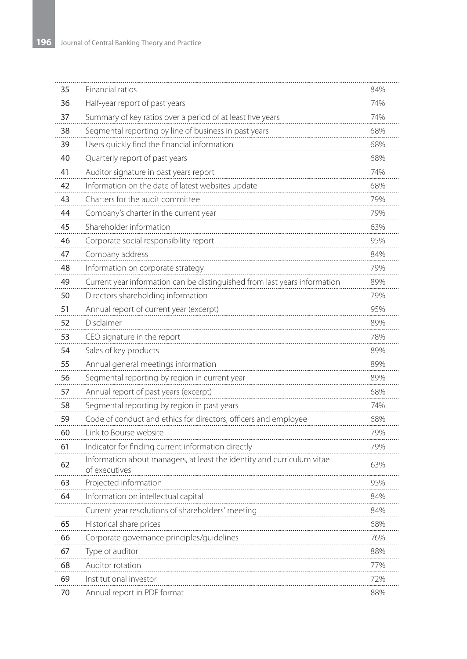| 35 | Financial ratios                                                                        | 84% |
|----|-----------------------------------------------------------------------------------------|-----|
| 36 | Half-year report of past years                                                          | 74% |
| 37 | Summary of key ratios over a period of at least five years                              | 74% |
| 38 | Segmental reporting by line of business in past years                                   | 68% |
| 39 | Users quickly find the financial information                                            | 68% |
| 40 | Quarterly report of past years                                                          | 68% |
| 41 | Auditor signature in past years report                                                  | 74% |
| 42 | Information on the date of latest websites update                                       | 68% |
| 43 | Charters for the audit committee                                                        | 79% |
| 44 | Company's charter in the current year                                                   | 79% |
| 45 | Shareholder information                                                                 | 63% |
| 46 | Corporate social responsibility report                                                  | 95% |
| 47 | Company address                                                                         | 84% |
| 48 | Information on corporate strategy                                                       | 79% |
| 49 | Current year information can be distinguished from last years information               | 89% |
| 50 | Directors shareholding information                                                      | 79% |
| 51 | Annual report of current year (excerpt)                                                 | 95% |
| 52 | Disclaimer                                                                              | 89% |
| 53 | CEO signature in the report                                                             | 78% |
| 54 | Sales of key products                                                                   | 89% |
| 55 | Annual general meetings information                                                     | 89% |
| 56 | Segmental reporting by region in current year                                           | 89% |
| 57 | Annual report of past years (excerpt)                                                   | 68% |
| 58 | Segmental reporting by region in past years                                             | 74% |
| 59 | Code of conduct and ethics for directors, officers and employee                         | 68% |
| 60 | Link to Bourse website                                                                  | 79% |
| 61 | Indicator for finding current information directly                                      | 79% |
| 62 | Information about managers, at least the identity and curriculum vitae<br>of executives | 63% |
| 63 | Projected information                                                                   | 95% |
| 64 | Information on intellectual capital                                                     | 84% |
|    | Current year resolutions of shareholders' meeting                                       | 84% |
| 65 | Historical share prices                                                                 | 68% |
| 66 | Corporate governance principles/guidelines                                              | 76% |
| 67 | Type of auditor                                                                         | 88% |
| 68 | Auditor rotation                                                                        | 77% |
| 69 | Institutional investor                                                                  | 72% |
| 70 | Annual report in PDF format                                                             | 88% |